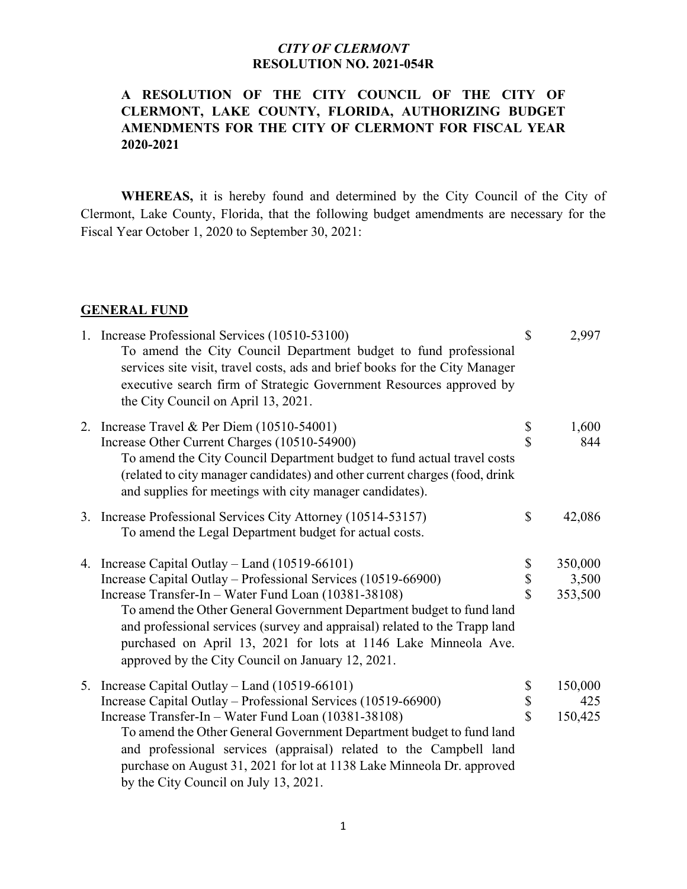## **A RESOLUTION OF THE CITY COUNCIL OF THE CITY OF CLERMONT, LAKE COUNTY, FLORIDA, AUTHORIZING BUDGET AMENDMENTS FOR THE CITY OF CLERMONT FOR FISCAL YEAR 2020-2021**

**WHEREAS,** it is hereby found and determined by the City Council of the City of Clermont, Lake County, Florida, that the following budget amendments are necessary for the Fiscal Year October 1, 2020 to September 30, 2021:

### **GENERAL FUND**

|  | 1. Increase Professional Services (10510-53100)<br>To amend the City Council Department budget to fund professional<br>services site visit, travel costs, ads and brief books for the City Manager<br>executive search firm of Strategic Government Resources approved by<br>the City Council on April 13, 2021.                   | $\mathcal{S}$           | 2,997        |
|--|------------------------------------------------------------------------------------------------------------------------------------------------------------------------------------------------------------------------------------------------------------------------------------------------------------------------------------|-------------------------|--------------|
|  | 2. Increase Travel & Per Diem (10510-54001)<br>Increase Other Current Charges (10510-54900)<br>To amend the City Council Department budget to fund actual travel costs<br>(related to city manager candidates) and other current charges (food, drink<br>and supplies for meetings with city manager candidates).                  | \$<br>\$                | 1,600<br>844 |
|  | 3. Increase Professional Services City Attorney (10514-53157)<br>To amend the Legal Department budget for actual costs.                                                                                                                                                                                                            | \$                      | 42,086       |
|  | 4. Increase Capital Outlay - Land (10519-66101)                                                                                                                                                                                                                                                                                    |                         | 350,000      |
|  | Increase Capital Outlay - Professional Services (10519-66900)                                                                                                                                                                                                                                                                      | \$<br>\$                | 3,500        |
|  | Increase Transfer-In - Water Fund Loan (10381-38108)<br>To amend the Other General Government Department budget to fund land<br>and professional services (survey and appraisal) related to the Trapp land<br>purchased on April 13, 2021 for lots at 1146 Lake Minneola Ave.<br>approved by the City Council on January 12, 2021. | $\hat{\mathbf{S}}$      | 353,500      |
|  | 5. Increase Capital Outlay – Land (10519-66101)                                                                                                                                                                                                                                                                                    | \$                      | 150,000      |
|  | Increase Capital Outlay - Professional Services (10519-66900)                                                                                                                                                                                                                                                                      | \$                      | 425          |
|  | Increase Transfer-In - Water Fund Loan (10381-38108)<br>To amend the Other General Government Department budget to fund land<br>and professional services (appraisal) related to the Campbell land<br>purchase on August 31, 2021 for lot at 1138 Lake Minneola Dr. approved<br>by the City Council on July 13, 2021.              | $\overline{\mathbf{S}}$ | 150,425      |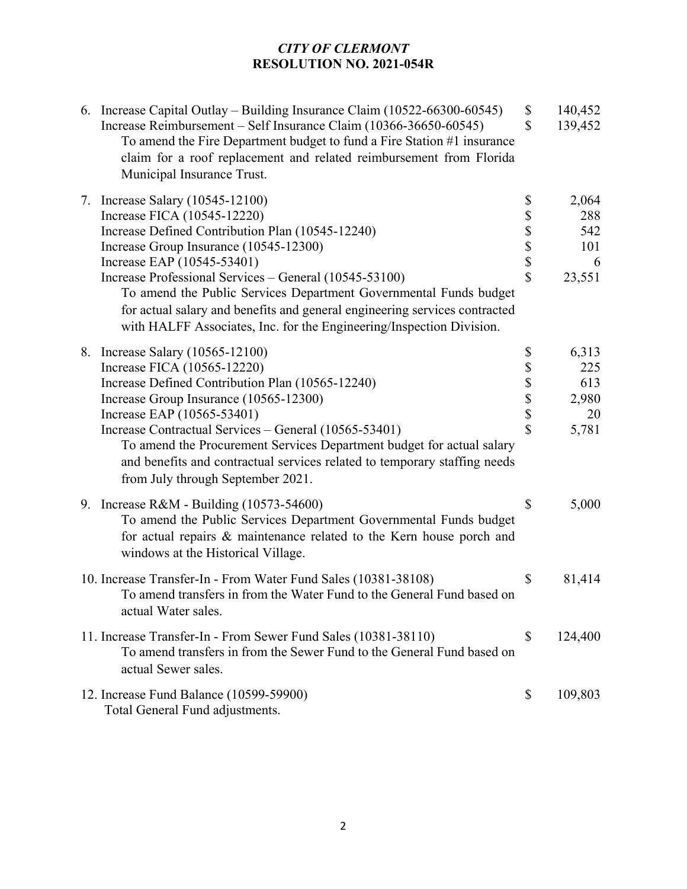| 6. Increase Capital Outlay – Building Insurance Claim (10522-66300-60545)<br>Increase Reimbursement – Self Insurance Claim (10366-36650-60545)<br>To amend the Fire Department budget to fund a Fire Station #1 insurance<br>claim for a roof replacement and related reimbursement from Florida<br>Municipal Insurance Trust.                                                                                                                                                   | \$<br>\$                                  | 140,452<br>139,452                          |
|----------------------------------------------------------------------------------------------------------------------------------------------------------------------------------------------------------------------------------------------------------------------------------------------------------------------------------------------------------------------------------------------------------------------------------------------------------------------------------|-------------------------------------------|---------------------------------------------|
| 7. Increase Salary (10545-12100)<br>Increase FICA (10545-12220)<br>Increase Defined Contribution Plan (10545-12240)<br>Increase Group Insurance (10545-12300)<br>Increase EAP (10545-53401)<br>Increase Professional Services – General (10545-53100)<br>To amend the Public Services Department Governmental Funds budget<br>for actual salary and benefits and general engineering services contracted<br>with HALFF Associates, Inc. for the Engineering/Inspection Division. | \$<br>\$\$\$\$\$                          | 2,064<br>288<br>542<br>101<br>6<br>23,551   |
| 8. Increase Salary (10565-12100)<br>Increase FICA (10565-12220)<br>Increase Defined Contribution Plan (10565-12240)<br>Increase Group Insurance (10565-12300)<br>Increase EAP (10565-53401)<br>Increase Contractual Services – General (10565-53401)<br>To amend the Procurement Services Department budget for actual salary<br>and benefits and contractual services related to temporary staffing needs<br>from July through September 2021.                                  | \$<br>\$\$\$\$<br>$\overline{\mathbf{S}}$ | 6,313<br>225<br>613<br>2,980<br>20<br>5,781 |
| 9. Increase R&M - Building (10573-54600)<br>To amend the Public Services Department Governmental Funds budget<br>for actual repairs & maintenance related to the Kern house porch and<br>windows at the Historical Village.                                                                                                                                                                                                                                                      | \$                                        | 5,000                                       |
| 10. Increase Transfer-In - From Water Fund Sales (10381-38108)<br>To amend transfers in from the Water Fund to the General Fund based on<br>actual Water sales.                                                                                                                                                                                                                                                                                                                  | \$                                        | 81,414                                      |
| 11. Increase Transfer-In - From Sewer Fund Sales (10381-38110)<br>To amend transfers in from the Sewer Fund to the General Fund based on<br>actual Sewer sales.                                                                                                                                                                                                                                                                                                                  | \$                                        | 124,400                                     |
| 12. Increase Fund Balance (10599-59900)<br>Total General Fund adjustments.                                                                                                                                                                                                                                                                                                                                                                                                       | \$                                        | 109,803                                     |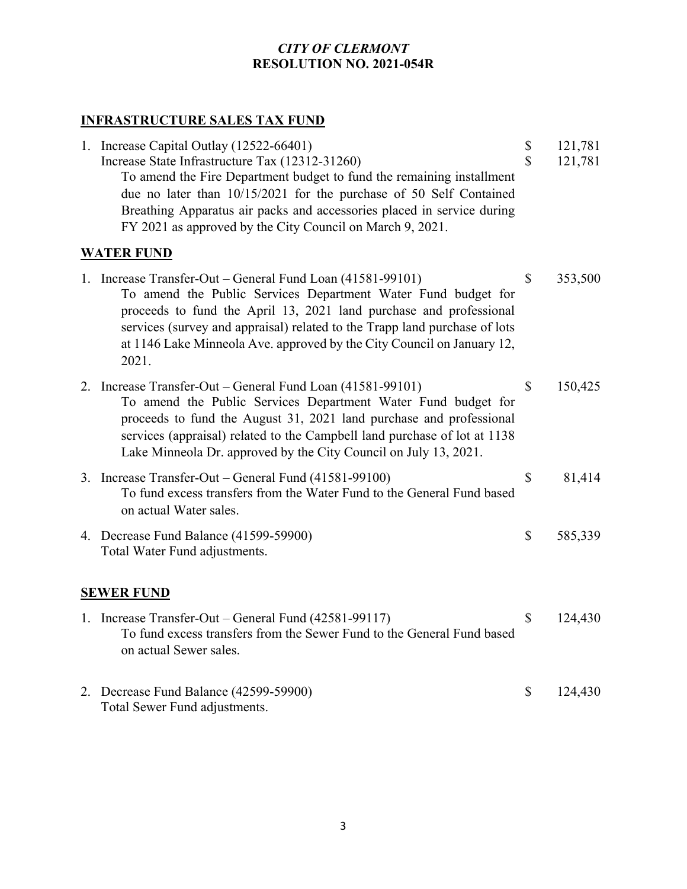# **INFRASTRUCTURE SALES TAX FUND**

| 1. Increase Capital Outlay (12522-66401)<br>Increase State Infrastructure Tax (12312-31260)<br>To amend the Fire Department budget to fund the remaining installment<br>due no later than 10/15/2021 for the purchase of 50 Self Contained<br>Breathing Apparatus air packs and accessories placed in service during<br>FY 2021 as approved by the City Council on March 9, 2021. | \$<br>$\mathbf S$ | 121,781<br>121,781 |
|-----------------------------------------------------------------------------------------------------------------------------------------------------------------------------------------------------------------------------------------------------------------------------------------------------------------------------------------------------------------------------------|-------------------|--------------------|
| <b>WATER FUND</b>                                                                                                                                                                                                                                                                                                                                                                 |                   |                    |
| 1. Increase Transfer-Out – General Fund Loan (41581-99101)<br>To amend the Public Services Department Water Fund budget for<br>proceeds to fund the April 13, 2021 land purchase and professional<br>services (survey and appraisal) related to the Trapp land purchase of lots<br>at 1146 Lake Minneola Ave. approved by the City Council on January 12,<br>2021.                | \$                | 353,500            |
| 2. Increase Transfer-Out – General Fund Loan (41581-99101)<br>To amend the Public Services Department Water Fund budget for<br>proceeds to fund the August 31, 2021 land purchase and professional<br>services (appraisal) related to the Campbell land purchase of lot at 1138<br>Lake Minneola Dr. approved by the City Council on July 13, 2021.                               | $\mathbb{S}$      | 150,425            |
| 3. Increase Transfer-Out - General Fund (41581-99100)<br>To fund excess transfers from the Water Fund to the General Fund based<br>on actual Water sales.                                                                                                                                                                                                                         | \$                | 81,414             |
| 4. Decrease Fund Balance (41599-59900)<br>Total Water Fund adjustments.                                                                                                                                                                                                                                                                                                           | \$                | 585,339            |
| <b>SEWER FUND</b>                                                                                                                                                                                                                                                                                                                                                                 |                   |                    |
| 1. Increase Transfer-Out – General Fund (42581-99117)<br>To fund excess transfers from the Sewer Fund to the General Fund based<br>on actual Sewer sales.                                                                                                                                                                                                                         | \$                | 124,430            |
| 2. Decrease Fund Balance (42599-59900)<br>Total Sewer Fund adjustments.                                                                                                                                                                                                                                                                                                           | \$                | 124,430            |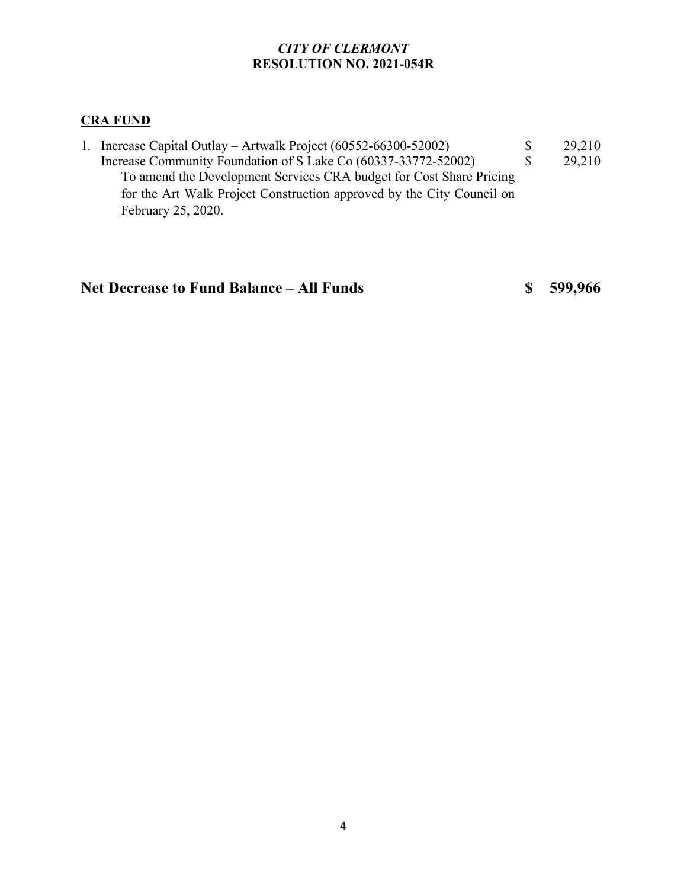## **CRA FUND**

1. Increase Capital Outlay – Artwalk Project (60552-66300-52002) \$ 29,210<br>Increase Community Foundation of S Lake Co (60337-33772-52002) \$ 29,210 Increase Community Foundation of S Lake Co (60337-33772-52002) \$ 29,210 To amend the Development Services CRA budget for Cost Share Pricing for the Art Walk Project Construction approved by the City Council on February 25, 2020.

## **Net Decrease to Fund Balance – All Funds \$ 599,966**